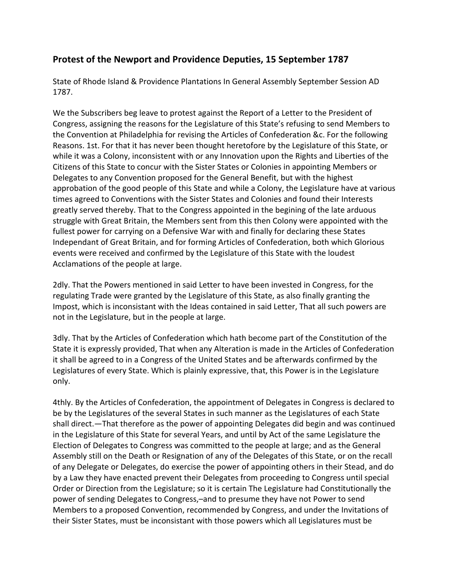## Protest of the Newport and Providence Deputies, 15 September 1787

State of Rhode Island & Providence Plantations In General Assembly September Session AD 1787.

We the Subscribers beg leave to protest against the Report of a Letter to the President of Congress, assigning the reasons for the Legislature of this State's refusing to send Members to the Convention at Philadelphia for revising the Articles of Confederation &c. For the following Reasons. 1st. For that it has never been thought heretofore by the Legislature of this State, or while it was a Colony, inconsistent with or any Innovation upon the Rights and Liberties of the Citizens of this State to concur with the Sister States or Colonies in appointing Members or Delegates to any Convention proposed for the General Benefit, but with the highest approbation of the good people of this State and while a Colony, the Legislature have at various times agreed to Conventions with the Sister States and Colonies and found their Interests greatly served thereby. That to the Congress appointed in the begining of the late arduous struggle with Great Britain, the Members sent from this then Colony were appointed with the fullest power for carrying on a Defensive War with and finally for declaring these States Independant of Great Britain, and for forming Articles of Confederation, both which Glorious events were received and confirmed by the Legislature of this State with the loudest Acclamations of the people at large.

2dly. That the Powers mentioned in said Letter to have been invested in Congress, for the regulating Trade were granted by the Legislature of this State, as also finally granting the Impost, which is inconsistant with the Ideas contained in said Letter, That all such powers are not in the Legislature, but in the people at large.

3dly. That by the Articles of Confederation which hath become part of the Constitution of the State it is expressly provided, That when any Alteration is made in the Articles of Confederation it shall be agreed to in a Congress of the United States and be afterwards confirmed by the Legislatures of every State. Which is plainly expressive, that, this Power is in the Legislature only.

4thly. By the Articles of Confederation, the appointment of Delegates in Congress is declared to be by the Legislatures of the several States in such manner as the Legislatures of each State shall direct.—That therefore as the power of appointing Delegates did begin and was continued in the Legislature of this State for several Years, and until by Act of the same Legislature the Election of Delegates to Congress was committed to the people at large; and as the General Assembly still on the Death or Resignation of any of the Delegates of this State, or on the recall of any Delegate or Delegates, do exercise the power of appointing others in their Stead, and do by a Law they have enacted prevent their Delegates from proceeding to Congress until special Order or Direction from the Legislature; so it is certain The Legislature had Constitutionally the power of sending Delegates to Congress,–and to presume they have not Power to send Members to a proposed Convention, recommended by Congress, and under the Invitations of their Sister States, must be inconsistant with those powers which all Legislatures must be